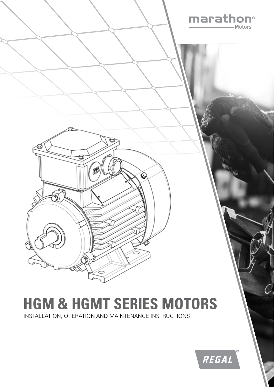

# **HGM & HGMT SERIES MOTORS**

INSTALLATION, OPERATION AND MAINTENANCE INSTRUCTIONS

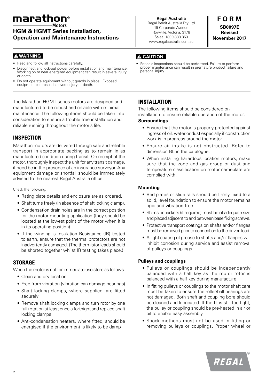# marathon®

# **HGM & HGMT Series Installation, Operation and Maintenance Instructions**

## **A WARNING**

- Read and follow all instructions carefully.
- Disconnect and lock-out power before installation and maintenance. Working on or near energized equipment can result in severe injury or death.
- Do not operate equipment without guards in place. Exposed equipment can result in severe injury or death.

The Marathon HGMT series motors are designed and manufactured to be robust and reliable with minimal maintenance. The following items should be taken into consideration to ensure a trouble free installation and reliable running throughout the motor's life.

# **INSPECTION**

Marathon motors are delivered through safe and reliable transport in appropriate packing as to remain in as manufactured condition during transit. On receipt of the motor, thoroughly inspect the unit for any transit damage, if need be in the presence of an insurance surveyor. Any equipment damage or shortfall should be immediately advised to the nearest Regal Australia office.

Check the following:

- Rating plate details and enclosure are as ordered.
- Shaft turns freely (in absence of shaft locking clamp).
- Condensation drain holes are in the correct position for the motor mounting application (they should be located at the lowest point of the motor when it is in its operating position).
- If the winding is Insulation Resistance (IR) tested to earth, ensure that the thermal protectors are not inadvertently damaged. (The thermistor leads should be shorted together whilst IR testing takes place.)

# **STORAGE**

When the motor is not for immediate use store as follows:

- Clean and dry location
- Free from vibration (vibration can damage bearings)
- Shaft locking clamps, where supplied, are fitted securely
- Remove shaft locking clamps and turn rotor by one full rotation at least once a fortnight and replace shaft locking clamps
- Anti-condensation heaters, where fitted, should be energised if the environment is likely to be damp

**Regal Australia** Regal Beloit Australia Pty Ltd 19 Corporate Avenue Rowville, Victoria, 3178 Sales: 1800 888 853 www.regalaustralia.com.au

**F O R M SB0097E Revised November 2017**

# **A CAUTION**

# **INSTALLATION**

The following items should be considered on installation to ensure reliable operation of the motor:

#### **Surroundings**

- Ensure that the motor is properly protected against ingress of oil, water or dust especially if construction work is in progress around the motor.
- Ensure air intake is not obstructed. Refer to dimension BL in the catalogue.
- When installing hazardous location motors, make sure that the zone and gas group or dust and temperature classification on motor nameplate are complied with.

#### **Mounting**

- Bed plates or slide rails should be firmly fixed to a solid, level foundation to ensure the motor remains rigid and vibration free
- Shims or packers (if required) must be of adequate size and placed adjacent to and between base fixing screws.
- Protective transport coatings on shafts and/or flanges must be removed prior to connection to the driven load.
- A light coating of grease to shafts and/or flanges will inhibit corrosion during service and assist removal of pulleys or couplings.

# **Pulleys and couplings**

- Pulleys or couplings should be independently balanced with a half key as the motor rotor is balanced with a half key during manufacture.
- In fitting pulleys or couplings to the motor shaft care must be taken to ensure the roller/ball bearings are not damaged. Both shaft and coupling bore should be cleaned and lubricated. If the fit is still too tight, the pulley or coupling should be pre-heated in air or oil to enable easy assembly.
- Shock methods must not be used in fitting or removing pulleys or couplings. Proper wheel or

Periodic inspections should be performed. Failure to perform proper maintenance can result in premature product failure and personal injury.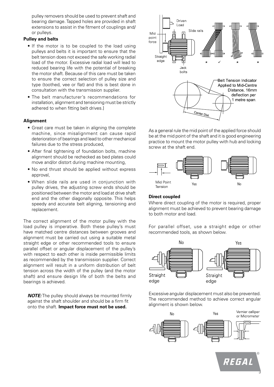pulley removers should be used to prevent shaft and bearing damage. Tapped holes are provided in shaft extensions to assist in the fitment of couplings and/ or pulleys.

#### **Pulley and belts**

- If the motor is to be coupled to the load using pulleys and belts it is important to ensure that the belt tension does not exceed the safe working radial load of the motor. Excessive radial load will lead to reduced bearing life with the potential of breaking the motor shaft. Because of this care must be taken to ensure the correct selection of pulley size and type (toothed, vee or flat) and this is best done in consultation with the transmission supplier.
- The belt manufacturer's recommendations for installation, alignment and tensioning must be strictly adhered to when fitting belt drives.]

#### **Alignment**

- Great care must be taken in aligning the complete machine, since misalignment can cause rapid deterioration of bearings and lead to other mechanical failures due to the stress produced,
- After final tightening of foundation bolts, machine alignment should be rechecked as bed plates could move and/or distort during machine mounting,
- No end thrust should be applied without express approval,
- When slide rails are used in conjunction with pulley drives, the adjusting screw ends should be positioned between the motor and load at drive shaft end and the other diagonally opposite. This helps speedy and accurate belt aligning, tensioning and replacement.

The correct alignment of the motor pulley with the load pulley is imperative. Both these pulley's must have matched centre distances between grooves and alignment must be carried out using a suitable metal straight edge or other recommended tools to ensure parallel offset or angular displacement of the pulley's with respect to each other is inside permissible limits as recommended by the transmission supplier. Correct alignment will result in a uniform distribution of belt tension across the width of the pulley (and the motor shaft) and ensure design life of both the belts and bearings is achieved.

*NOTE:* The pulley should always be mounted firmly against the shaft shoulder and should be a firm fit onto the shaft. **Impact force must not be used.**



As a general rule the mid point of the applied force should be at the mid point of the shaft and it is good engineering practice to mount the motor pulley with hub and locking screw at the shaft end.



#### **Direct coupled**

Where direct coupling of the motor is required, proper alignment must be achieved to prevent bearing damage to both motor and load.

For parallel offset, use a straight edge or other recommended tools, as shown below.



Excessive angular displacement must also be prevented. The recommended method to achieve correct angular alignment is shown below.



3

REGAL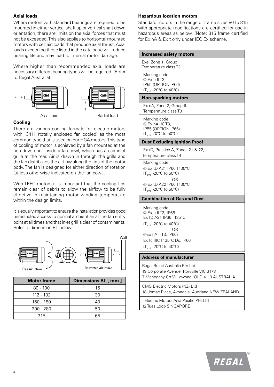## **Axial loads**

Where motors with standard bearings are required to be mounted in either vertical shaft up or vertical shaft down orientation, there are limits on the axial forces that must not be exceeded. This also applies to horizontal mounted motors with certain loads that produce axial thrust. Axial loads exceeding those listed in the catalogue will reduce bearing life and may lead to internal motor damage.

Where higher than recommended axial loads are necessary different bearing types will be required. (Refer to Regal Australia).



#### **Cooling**

There are various cooling formats for electric motors with IC411 (totally enclosed fan cooled) as the most common type that is used on our HGA motors. This type of cooling of motor is achieved by a fan mounted at the non drive end, inside a fan cowl, which has an air inlet grille at the rear. Air is drawn in through the grille and the fan distributes the airflow along the fins of the motor body. The fan is designed for either direction of rotation (unless otherwise indicated on the fan cowl).

With TEFC motors it is important that the cooling fins remain clear of debris to allow the airflow to be fully effective in maintaining motor winding temperature within the design limits.

It is equally important to ensure the installation provides good unrestricted access to normal ambient air at the fan entry point at all times and that inlet grill is clear of contaminants. Refer to dimension BL below.



**Motor frame Dimensions BL [ mm ]** 80 - 100 15 112 - 132 | 30 160 - 180 | 40 200 - 280 50 315 65

#### **Hazardous location motors**

Standard motors in the range of frame sizes 80 to 315 with appropriate modifications are certified for use in hazardous areas as below. (Note: 315 frame certified for Ex nA & Ex t only under IEC Ex scheme.

**Increased safety motors** Exe, Zone 1, Group II Temperature class T3

Marking code:  $\&$  Ex e II T3. IP55 (OPTION IP66) (Tamb -20°C to 40°C)

#### **Non-sparking motors**

Ex nA, Zone 2, Group II Temperature class T3

Marking code:  $\&$  Ex nA IIC T3. IP55 (OPTION IP66) (Tamb-20°C to 50°C)

#### **Dust Excluding Ignition Proof**

Ex tD, Practice A, Zones 21 & 22, Temperature class T4

Marking code:

 Ex tD A21 IP66 T135°C (Tamb -20°C to 50°C) OR Ex tD A22 IP66 T135°C

(Tamb -20°C to 50°C)

#### **Combination of Gas and Dust**

Marking code: Ex e II T3, IP66 Ex tD A21 IP66 T135°C (Tamb -20°C to 40°C) OR Ex nA II T3, IP66z Ex tc IIIC T135°C Dc, IP66 (Tamb -20°C to 40°C)

#### **Address of manufacturer**

Regal Beloit Australia Pty Ltd 19 Corporate Avenue, Rowville VIC 3178 7 Mahogany Crt Willawong, QLD 4110 AUSTRALIA.

CMG Electric Motors (NZ) Ltd 18 Jomac Place, Avondale, Auckland NEW ZEALAND

 Electric Motors Asia Pacific Pte.Ltd 12 Tuas Loop SINGAPORE

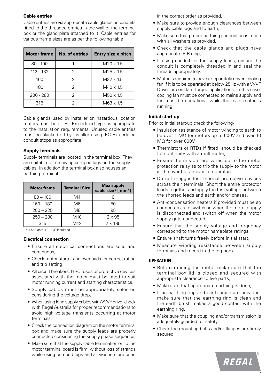#### **Cable entries**

Cable entries are via appropriate cable glands or conduits fitted to the threaded entries in the wall of the terminal box or the gland plate attached to it. Cable entries for various frame sizes are as per the following table

| <b>Motor frame</b> | No. of entries | Entry size x pitch |
|--------------------|----------------|--------------------|
| $80 - 100$         |                | $M20 \times 1.5$   |
| 112 - 132          | 2              | $M25 \times 1.5$   |
| 160                | 2              | $M32 \times 1.5$   |
| 180                | 2              | $M40 \times 1.5$   |
| $200 - 280$        | 2              | $M50 \times 1.5$   |
| 315                |                | M63 x 1.5          |

Cable glands used by installer on hazardous location motors must be of IEC Ex certified type as appropriate to the installation requirements. Unused cable entries must be blanked off by installer using IEC Ex certified conduit stops as appropriate.

#### **Supply terminals**

Supply terminals are located in the terminal box. They are suitable for receiving crimped lugs on the supply cables. In addition the terminal box also houses an earthing terminal.

| <b>Motor frame</b> | <b>Terminal Size</b> | <b>Max supply</b><br>cable size* [ mm <sup>2</sup> ] |
|--------------------|----------------------|------------------------------------------------------|
| $80 - 100$         | M4                   |                                                      |
| $160 - 180$        | M6                   | 50                                                   |
| $200 - 225$        | M8                   | 95                                                   |
| $250 - 280$        | M <sub>10</sub>      | $2 \times 95$                                        |
| 315                | M12                  | $2 \times 185$                                       |

\* 4 or 3 core +E, PVC insulated

#### **Electrical connection**

- Ensure all electrical connections are solid and continuous,
- Check motor starter and overloads for correct rating and trip setting,
- All circuit breakers, HRC fuses or protective devices associated with the motor must be rated to suit motor running current and starting characteristics,
- Supply cables must be appropriately selected considering the voltage drop,
- When using long supply cables with VVVF drive, check with Regal Australia for proper recommendations to avoid high voltage transients occurring at motor terminals,
- Check the connection diagram on the motor terminal box and make sure the supply leads are properly connected considering the supply phase sequence,
- Make sure that the supply cable termination on to the motor terminal board is firm, without loss of strands while using crimped lugs and all washers are used

in the correct order as provided.

- Make sure to provide enough clearances between supply cable lugs and to earth,
- Make sure that proper earthing connection is made with all washers as provided,
- Check that the cable glands and plugs have appropriate IP Rating,
- If using conduit for the supply leads, ensure the conduit is completely threaded in and seal the threads appropriately,
- Motor is required to have a separately driven cooling fan if it is to be operated at below 25Hz with a VVVF Drive for constant torque applications. In this case, cooling fan must be connected to mains supply and fan must be operational while the main motor is running.

#### **Initial start up**

Prior to initial start-up check the following-

- Insulation resistance of motor winding to earth to be over 1 MΩ for motors up to 600V and over 10 MΩ for over 600V,
- Thermistors or RTDs if fitted, should be checked for continuity with a multimeter,
- Ensure thermistors are wired up to the motor protection relay as to trip the supply to the motor in the event of an over temperature,
- Do not megger test thermal protective devices across their terminals. Short the entire protector leads together and apply the test voltage between the shorted leads and earth and/or phases,
- Anti-condensation heaters if provided must be so connected as to switch on when the motor supply is disconnected and switch off when the motor supply gets connected,
- Ensure that the supply voltage and frequency correspond to the motor nameplate ratings,
- Ensure shaft turns freely before initial start,
- Measure winding resistance between supply terminals and record in the log book.

#### **OPERATION**

- Before running the motor make sure that the terminal box lid is closed and secured with appropriate clearance to live parts,
- Make sure that appropriate earthing is done,
- If an earthing ring and earth brush are provided, make sure that the earthing ring is clean and the earth brush makes a good contact with the earthing ring,
- Make sure that the coupling and/or transmission is adequately guarded for safety,
- Check the mounting bolts and/or flanges are firmly secured,

 $\overline{5}$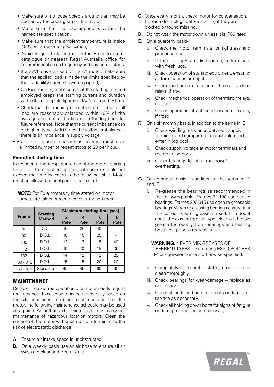- Make sure of no loose objects around that may be sucked by the cooling fan on the motor,
- Make sure that the load applied is within the nameplate specification,
- Make sure that the ambient temperature is inside 40ºC or nameplate specification,
- Avoid frequent starting of motor. Refer to motor catalogue or nearest Regal Australia office for recommendation on frequency and duration of starts,
- If a VVVF drive is used on Ex nA motor, make sure that the applied load is inside the limits specified by the loadability curve shown on page 9,
- On Ex e motors, make sure that the starting method employed keeps the starting current and duration within the nameplate figures of IA/IN ratio and tE time,
- Check that the running current on no load and full load are reasonably balanced within 10% of the average and record the figures in the log book for future reference. Note that the current imbalance can be higher, typically 10 times the voltage imbalance if there is an imbalance in supply voltage,
- Brake motors used in hazardous locations must have a limited number of repeat stops to 20 per hour.

#### **Permitted starting time**

In respect to the temperature rise of the motor, starting time (i.e., from rest to operational speed) should not exceed the time indicated in the following table. Motor must be allowed to cool prior to each start.

|              | <b>Starting</b> | <b>Maximum starting time [sec]</b> |           |           |           |
|--------------|-----------------|------------------------------------|-----------|-----------|-----------|
| <b>Frame</b> | <b>Method</b>   | $\overline{2}$<br>Pole             | 4<br>Pole | 6<br>Pole | 8<br>Pole |
| 80           | D.O.L           | 15                                 | 26        | 40        |           |
| 90           | D.O.L.          | 10                                 | 15        | 25        |           |
| 100          | D.O.L.          | 12                                 | 13        | 18        | 40        |
| 112          | D.O.L.          | 10                                 | 10        | 18        | 35        |
| 132          | D.O.L.          | 14                                 | 12        | 12        | 25        |
| 160 - 315    | D.O.L.          | 15                                 | 15        | 20        | 20        |
| $160 - 315$  | Star-delta      | 45                                 | 45        | 60        | 60        |

*NOTE:* For Ex e motors t<sub>F</sub> time stated on motor name plate takes precedence over these times

#### **MAINTENANCE**

Reliable, trouble free operation of a motor needs regular maintenance. Exact maintenance needs vary based on the site conditions. To obtain reliable service from the motor, the following maintenance schedule may be used as a guide. An authorised service agent must carry out maintenance of hazardous location motors. Clean the surface of the motor with a damp cloth to minimise the risk of electrostatic discharge.

- **A.** Ensure air intake space is unobstructed.
- **B.** On a weekly basis use an air hose to ensure all air ways are clear and free of dust.
- **C.** Once every month, check motor for condensation. Replace drain plugs before starting if they are blocked or found missing.
- **D.** Do not wash the motor down unless it is IP66 rated.
- **E.** On a quarterly basis
	- i. Check the motor terminals for tightness and proper contact,
	- ii. If terminal lug/s are discoloured, re-terminate with fresh lugs,
	- iii. Check operation of starting equipment, ensuring all terminations are tight.
	- iv. Check mechanical operation of thermal overload relays, if any,
	- v. Check mechanical operation of thermistor relays, if fitted,
	- vi. Check operation of anti-condensation heaters, if fitted
- **F.** On a six monthly basis, in addition to the items in 'E'
	- Check winding resistance between supply terminals and compare to original value and enter in log book.
	- ii. Check supply voltage at motor terminals and record in log book.
	- iii. Check bearings for abnormal noise/ overheating.
- **G.** On an annual basis, in addition to the items in 'E' and 'F'
	- i. Re-grease the bearings as recommended in the following table. Frames 71-180 use sealed bearings. Frames 200-315 use open re-greasable bearings. When re-greasing bearings ensure that the correct type of grease is used. If in doubt about the existing grease type, clean out the old grease thoroughly from bearings and bearing housings, prior to regreasing.

#### **WARNING:** NEVER MIX GREASES OF

DIFFERENT TYPES. Use grease ESSO POLYREX EM or equivalent unless otherwise specified.

- ii. Completely disassemble stator, rotor apart and clean thoroughly.
- iii. Check bearings for wear/damage replace as necessary.
- iv. Check all bolts and nuts for cracks or damage replace as necessary.
- v. Check all holding down bolts for signs of fatigue or damage – replace as necessary.

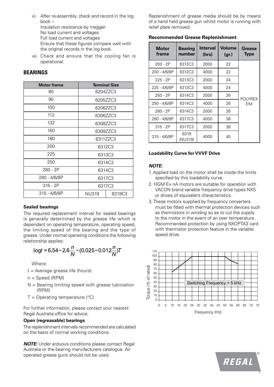- vi. After re-assembly, check and record in the log book – Insulation resistance by megger No load current and voltages Full load current and voltages Ensure that these figures compare well with the original records in the log book.
- vii. Check and ensure that the cooling fan is operational.

#### **BEARINGS**

| <b>Motor frame</b> | <b>Terminal Size</b>   |          |  |  |
|--------------------|------------------------|----------|--|--|
| 80                 | 6204ZZC3               |          |  |  |
| 90                 |                        | 6205ZZC3 |  |  |
| 100                | 6206ZZC3               |          |  |  |
| 112                | 6306ZZC3               |          |  |  |
| 132                | 6308ZZC3               |          |  |  |
| 160                | 6309ZZC3               |          |  |  |
| 180<br>6311ZZC3    |                        |          |  |  |
| 200                | 6312C3                 |          |  |  |
| 225                | 6313C3                 |          |  |  |
| 250                | 6314C3                 |          |  |  |
| 280 - 2P           | 6314C3                 |          |  |  |
| 280 - 4/6/8P       | 6317C3                 |          |  |  |
| $315 - 2P$         | 6317C3                 |          |  |  |
| 315 - 4/6/8P       | <b>NU319</b><br>6319C3 |          |  |  |

#### **Sealed bearings**

The required replacement interval for sealed bearings is generally determined by the grease life which is dependant on operating temperature, operating speed, the limiting speed of the bearing and the type of grease. Under normal operating conditions the following relationship applies:

$$
\log t = 6.54 - 2.6 \frac{n}{N} - (0.025 - 0.012 \frac{n}{N})T
$$

Where:

- t = Average grease life (hours)
- n = Speed (RPM)
- $N =$  Bearing limiting speed with grease lubrication (RPM)
- $T =$  Operating temperature ( $\degree$ C)

For further information, please contact your nearest Regal Australia office for advice.

#### **Open (regreasable) bearings**

**The replenishment intervals recommended are calculated** on the basis of normal working conditions. 90 ended are calculat $\epsilon$ 

**NOTE:** Under arduous conditions please contact Regal Australia or the bearing manufacturers catalogue. Air operated grease guns should not be used. **Torque (% of rated)**

Replenishment of grease media should be by means of a hand held grease gun whilst motor is running with relief plate removed.

**Recommended Grease Replenishment**

| Motor<br>frame | <b>Bearing</b><br>number | <b>Interval</b><br>(hrs) | <b>Volume</b><br>(gr.) | <b>Grease</b><br><b>Type</b> |
|----------------|--------------------------|--------------------------|------------------------|------------------------------|
| $200 - 2P$     | 6312C3                   | 2000                     | 22                     |                              |
| 200 - 4/6/8P   | 6312C3                   | 4000                     | 22                     |                              |
| 225 - 2P       | 6313C3                   | 2000                     | 24                     |                              |
| 225 - 4/6/8P   | 6313C3                   | 4000                     | 24                     | <b>POLYREX</b>               |
| $250 - 2P$     | 6314C3                   | 2000                     | 26                     |                              |
| 250 - 4/6/8P   | 6314C3                   | 4000                     | 26                     | EM                           |
| $280 - 2P$     | 6314C3                   | 2000                     | 26                     |                              |
| 280 - 4/6/8P   | 6317C3                   | 4000                     | 38                     |                              |
| $315 - 2P$     | 6317C3                   | 2000                     | 38                     |                              |
| 315 - 4/6/8P   | 6319<br>(NU319)          | 4000                     | 45                     |                              |

#### **Loadability Curve for VVVF Drive**

#### *NOTE:*

- 1. Applied load on the motor shall be inside the limits specified by this loadability curve.
- 2. HGM Ex nA motors are suitable for operation with VACON brand variable frequency drive types NXS or drives of equivalent characteristics.
- 3. These motors supplied by frequency converters must be fitted with thermal protection devices such as thermistors in winding so as to cut the supply to the motor in the event of an over temperature. Recommended protection by using NXOPTA3 card with thermistor protection feature in the variable speed drive.





7